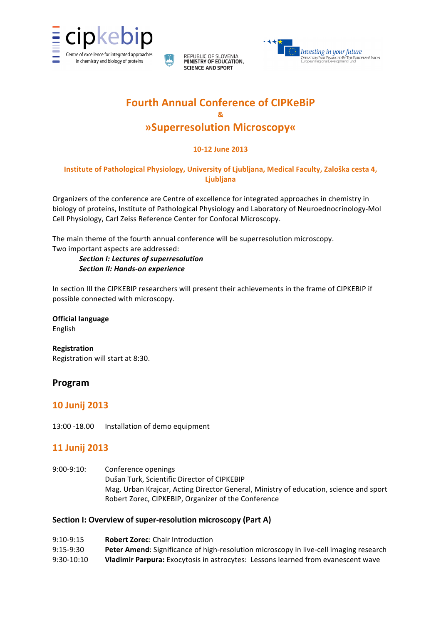

REPUBLIC OF SLOVENIA<br>MINISTRY OF EDUCATION. **SCIENCE AND SPORT** 



# **Fourth Annual Conference of CIPKeBiP & »Superresolution!Microscopy«**

### **10?12 June 2013**

### Institute of Pathological Physiology, University of Ljubljana, Medical Faculty, Zaloška cesta 4, **Ljubljana**

Organizers of the conference are Centre of excellence for integrated approaches in chemistry in biology of proteins, Institute of Pathological Physiology and Laboratory of Neuroednocrinology-Mol Cell Physiology, Carl Zeiss Reference Center for Confocal Microscopy.

The main theme of the fourth annual conference will be superresolution microscopy. Two important aspects are addressed:

**Section I: Lectures of superresolution Section II: Hands-on experience** 

In section III the CIPKEBIP researchers will present their achievements in the frame of CIPKEBIP if possible connected with microscopy.

**Official language** 

English

**Registration** Registration will start at 8:30.

# **Program**

# **10!Junij!2013**

13:00 -18.00 Installation of demo equipment

# **11 Junij 2013**

9:00-9:10: Conference openings Dušan Turk, Scientific Director of CIPKEBIP Mag. Urban Krajcar, Acting Director General, Ministry of education, science and sport Robert Zorec, CIPKEBIP, Organizer of the Conference

### Section I: Overview of super-resolution microscopy (Part A)

| $9:10-9:15$  | <b>Robert Zorec: Chair Introduction</b>                                                 |
|--------------|-----------------------------------------------------------------------------------------|
| $9:15-9:30$  | Peter Amend: Significance of high-resolution microscopy in live-cell imaging research   |
| $9:30-10:10$ | <b>Vladimir Parpura:</b> Exocytosis in astrocytes: Lessons learned from evanescent wave |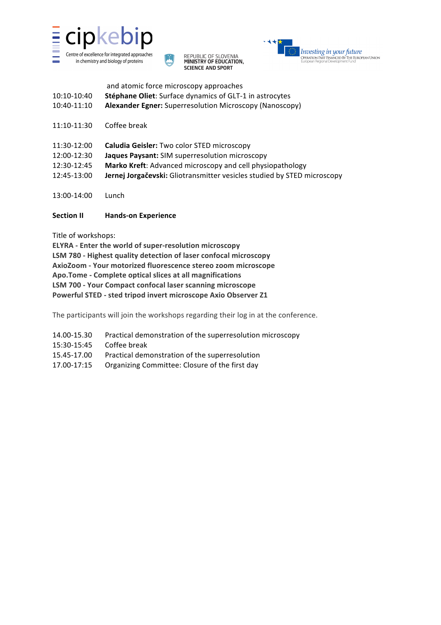





|             | and atomic force microscopy approaches                         |
|-------------|----------------------------------------------------------------|
| 10:10-10:40 | <b>Stéphane Oliet:</b> Surface dynamics of GLT-1 in astrocytes |
| 10:40-11:10 | <b>Alexander Egner:</b> Superresolution Microscopy (Nanoscopy) |

- 11:10-11:30 Coffee break
- 11:30-12:00 **Caludia Geisler:** Two color STED microscopy 12:00-12:30 **Jaques Paysant:** SIM superresolution microscopy 12:30-12:45 Marko Kreft: Advanced microscopy and cell physiopathology 12:45-13:00 **Jernej Jorgačevski:** Gliotransmitter vesicles studied by STED microscopy
- 13:00>14:00 Lunch

### **Section II Hands-on Experience**

Title of workshops:

**ELYRA** - Enter the world of super-resolution microscopy **LSM** 780 - Highest quality detection of laser confocal microscopy **AxioZoom ? Your motorized fluorescence stereo zoom microscope Apo.Tome** - Complete optical slices at all magnifications **LSM 700 ? Your Compact confocal laser scanning microscope Powerful!STED ? sted tripod invert microscope Axio Observer Z1**

The participants will join the workshops regarding their log in at the conference.

- 14.00-15.30 Practical demonstration of the superresolution microscopy
- 15:30-15:45 Coffee break
- 15.45-17.00 Practical demonstration of the superresolution
- 17.00-17:15 Organizing Committee: Closure of the first day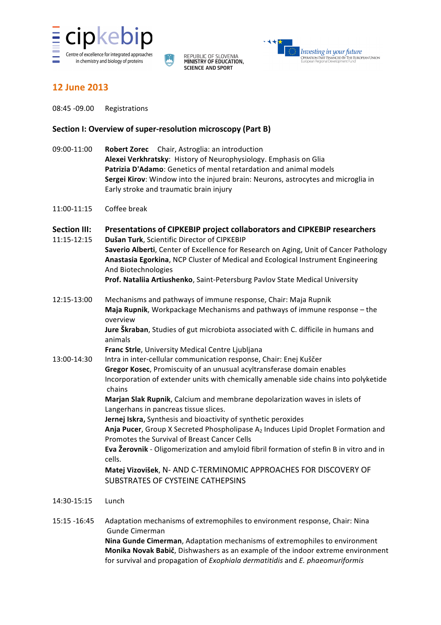





### **12!June!2013**

08:45 -09.00 Registrations

#### **Section I: Overview of super-resolution microscopy (Part B)**

- 09:00-11:00 **Robert Zorec** Chair, Astroglia: an introduction Alexei Verkhratsky: History of Neurophysiology. Emphasis on Glia **Patrizia D'Adamo**: Genetics of mental retardation and animal models **Sergei Kirov**: Window into the injured brain: Neurons, astrocytes and microglia in Early stroke and traumatic brain injury
- $11:00-11:15$  Coffee break
- **Section III:** Presentations of CIPKEBIP project collaborators and CIPKEBIP researchers 11:15-12:15 **Dušan Turk**, Scientific Director of CIPKEBIP **Saverio Alberti**, Center of Excellence for Research on Aging, Unit of Cancer Pathology **Anastasia Egorkina**, NCP Cluster of Medical and Ecological Instrument Engineering And Biotechnologies Prof. Nataliia Artiushenko, Saint-Petersburg Pavlov State Medical University
- 12:15-13:00 Mechanisms and pathways of immune response, Chair: Maja Rupnik **Maja Rupnik**, Workpackage Mechanisms and pathways of immune response – the overview

**Jure Škraban**, Studies of gut microbiota associated with C. difficile in humans and animals

**Franc Strle**, University Medical Centre Ljubljana

13:00-14:30 Intra in inter-cellular communication response, Chair: Enej Kuščer **Gregor Kosec**, Promiscuity of an unusual acyltransferase domain enables Incorporation of extender units with chemically amenable side chains into polyketide chains **Marjan Slak Rupnik, Calcium and membrane depolarization waves in islets of** Langerhans in pancreas tissue slices.

**Jernej Iskra,** Synthesis and bioactivity of synthetic peroxides

Anja Pucer, Group X Secreted Phospholipase A<sub>2</sub> Induces Lipid Droplet Formation and Promotes the Survival of Breast Cancer Cells

**Eva Žerovnik** - Oligomerization and amyloid fibril formation of stefin B in vitro and in cells.

Matej Vizovišek, N- AND C-TERMINOMIC APPROACHES FOR DISCOVERY OF SUBSTRATES OF CYSTEINE CATHEPSINS

- 14:30>15:15 Lunch
- 15:15 -16:45 Adaptation mechanisms of extremophiles to environment response, Chair: Nina Gunde Cimerman **Nina Gunde Cimerman**, Adaptation mechanisms of extremophiles to environment **Monika Novak Babič**, Dishwashers as an example of the indoor extreme environment for survival and propagation of *Exophiala dermatitidis* and *E. phaeomuriformis*